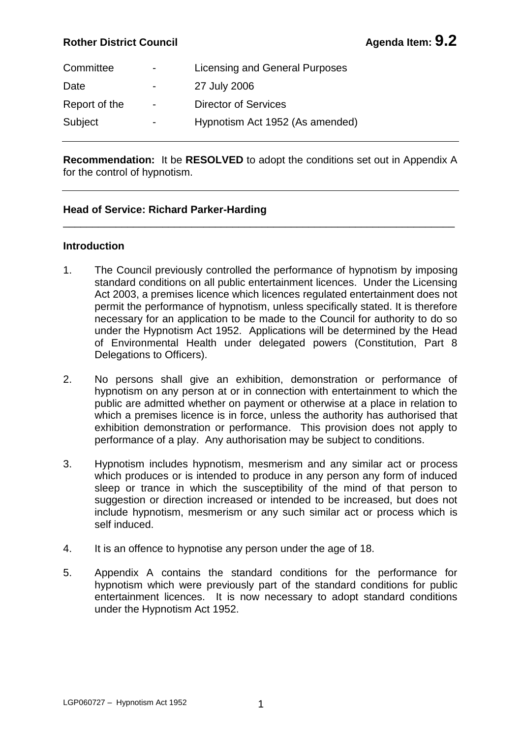# **Rother District Council Agent Agenda Item: 9.2**

| Committee     | $\overline{\phantom{0}}$ | Licensing and General Purposes  |
|---------------|--------------------------|---------------------------------|
| Date          | $\overline{\phantom{0}}$ | 27 July 2006                    |
| Report of the | $\overline{\phantom{0}}$ | <b>Director of Services</b>     |
| Subject       | $\overline{\phantom{0}}$ | Hypnotism Act 1952 (As amended) |

**Recommendation:** It be **RESOLVED** to adopt the conditions set out in Appendix A for the control of hypnotism.

\_\_\_\_\_\_\_\_\_\_\_\_\_\_\_\_\_\_\_\_\_\_\_\_\_\_\_\_\_\_\_\_\_\_\_\_\_\_\_\_\_\_\_\_\_\_\_\_\_\_\_\_\_\_\_\_\_\_\_\_\_\_\_\_\_\_\_

## **Head of Service: Richard Parker-Harding**

## **Introduction**

- 1. The Council previously controlled the performance of hypnotism by imposing standard conditions on all public entertainment licences. Under the Licensing Act 2003, a premises licence which licences regulated entertainment does not permit the performance of hypnotism, unless specifically stated. It is therefore necessary for an application to be made to the Council for authority to do so under the Hypnotism Act 1952. Applications will be determined by the Head of Environmental Health under delegated powers (Constitution, Part 8 Delegations to Officers).
- 2. No persons shall give an exhibition, demonstration or performance of hypnotism on any person at or in connection with entertainment to which the public are admitted whether on payment or otherwise at a place in relation to which a premises licence is in force, unless the authority has authorised that exhibition demonstration or performance. This provision does not apply to performance of a play. Any authorisation may be subject to conditions.
- 3. Hypnotism includes hypnotism, mesmerism and any similar act or process which produces or is intended to produce in any person any form of induced sleep or trance in which the susceptibility of the mind of that person to suggestion or direction increased or intended to be increased, but does not include hypnotism, mesmerism or any such similar act or process which is self induced.
- 4. It is an offence to hypnotise any person under the age of 18.
- 5. Appendix A contains the standard conditions for the performance for hypnotism which were previously part of the standard conditions for public entertainment licences. It is now necessary to adopt standard conditions under the Hypnotism Act 1952.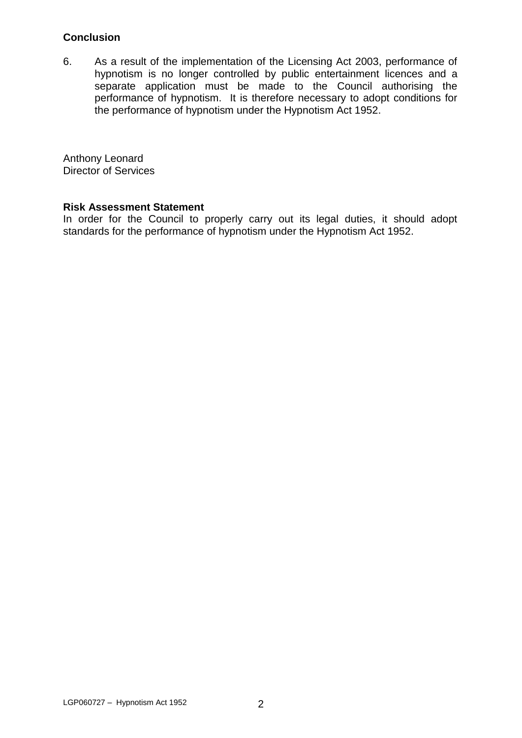# **Conclusion**

6. As a result of the implementation of the Licensing Act 2003, performance of hypnotism is no longer controlled by public entertainment licences and a separate application must be made to the Council authorising the performance of hypnotism. It is therefore necessary to adopt conditions for the performance of hypnotism under the Hypnotism Act 1952.

Anthony Leonard Director of Services

#### **Risk Assessment Statement**

In order for the Council to properly carry out its legal duties, it should adopt standards for the performance of hypnotism under the Hypnotism Act 1952.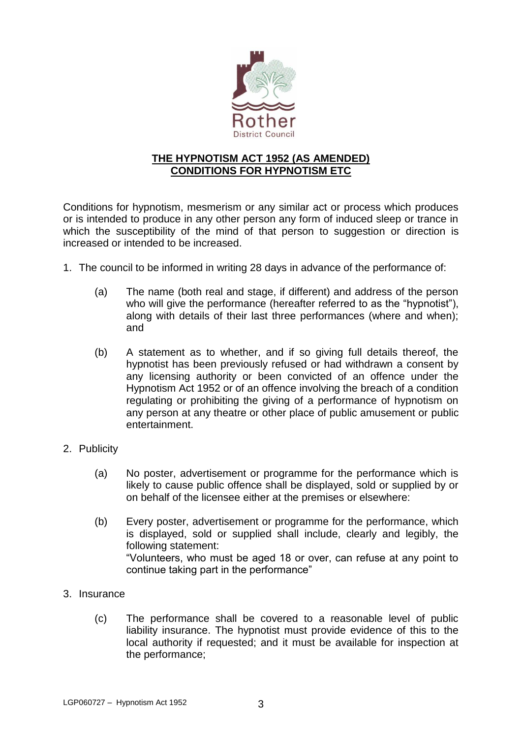

# **THE HYPNOTISM ACT 1952 (AS AMENDED) CONDITIONS FOR HYPNOTISM ETC**

Conditions for hypnotism, mesmerism or any similar act or process which produces or is intended to produce in any other person any form of induced sleep or trance in which the susceptibility of the mind of that person to suggestion or direction is increased or intended to be increased.

- 1. The council to be informed in writing 28 days in advance of the performance of:
	- (a) The name (both real and stage, if different) and address of the person who will give the performance (hereafter referred to as the "hypnotist"), along with details of their last three performances (where and when); and
	- (b) A statement as to whether, and if so giving full details thereof, the hypnotist has been previously refused or had withdrawn a consent by any licensing authority or been convicted of an offence under the Hypnotism Act 1952 or of an offence involving the breach of a condition regulating or prohibiting the giving of a performance of hypnotism on any person at any theatre or other place of public amusement or public entertainment.
- 2. Publicity
	- (a) No poster, advertisement or programme for the performance which is likely to cause public offence shall be displayed, sold or supplied by or on behalf of the licensee either at the premises or elsewhere:
	- (b) Every poster, advertisement or programme for the performance, which is displayed, sold or supplied shall include, clearly and legibly, the following statement: "Volunteers, who must be aged 18 or over, can refuse at any point to continue taking part in the performance"
- 3. Insurance
	- (c) The performance shall be covered to a reasonable level of public liability insurance. The hypnotist must provide evidence of this to the local authority if requested; and it must be available for inspection at the performance;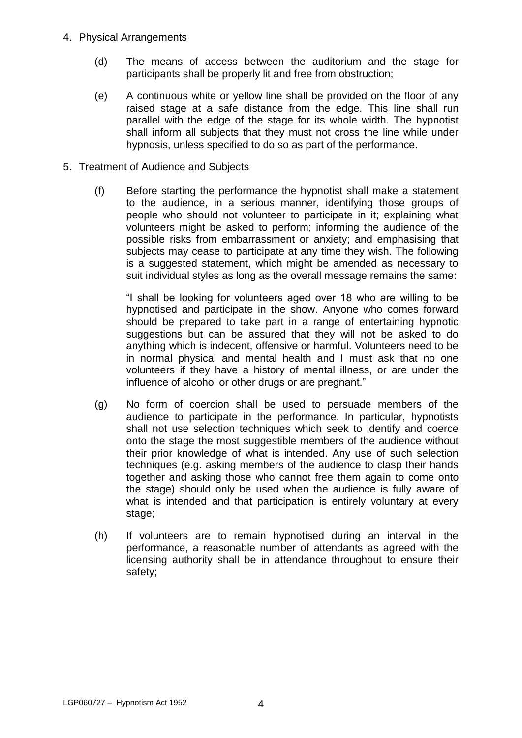- 4. Physical Arrangements
	- (d) The means of access between the auditorium and the stage for participants shall be properly lit and free from obstruction;
	- (e) A continuous white or yellow line shall be provided on the floor of any raised stage at a safe distance from the edge. This line shall run parallel with the edge of the stage for its whole width. The hypnotist shall inform all subjects that they must not cross the line while under hypnosis, unless specified to do so as part of the performance.
- 5. Treatment of Audience and Subjects
	- (f) Before starting the performance the hypnotist shall make a statement to the audience, in a serious manner, identifying those groups of people who should not volunteer to participate in it; explaining what volunteers might be asked to perform; informing the audience of the possible risks from embarrassment or anxiety; and emphasising that subjects may cease to participate at any time they wish. The following is a suggested statement, which might be amended as necessary to suit individual styles as long as the overall message remains the same:

"I shall be looking for volunteers aged over 18 who are willing to be hypnotised and participate in the show. Anyone who comes forward should be prepared to take part in a range of entertaining hypnotic suggestions but can be assured that they will not be asked to do anything which is indecent, offensive or harmful. Volunteers need to be in normal physical and mental health and I must ask that no one volunteers if they have a history of mental illness, or are under the influence of alcohol or other drugs or are pregnant."

- (g) No form of coercion shall be used to persuade members of the audience to participate in the performance. In particular, hypnotists shall not use selection techniques which seek to identify and coerce onto the stage the most suggestible members of the audience without their prior knowledge of what is intended. Any use of such selection techniques (e.g. asking members of the audience to clasp their hands together and asking those who cannot free them again to come onto the stage) should only be used when the audience is fully aware of what is intended and that participation is entirely voluntary at every stage;
- (h) If volunteers are to remain hypnotised during an interval in the performance, a reasonable number of attendants as agreed with the licensing authority shall be in attendance throughout to ensure their safety;